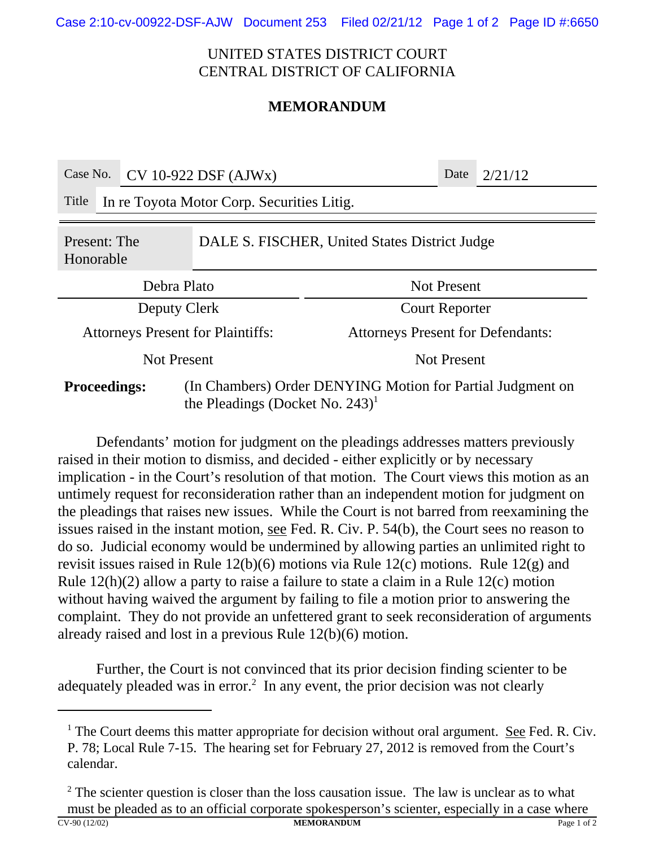Case 2:10-cv-00922-DSF-AJW Document 253 Filed 02/21/12 Page 1 of 2 Page ID #:6650

## UNITED STATES DISTRICT COURT CENTRAL DISTRICT OF CALIFORNIA

## **MEMORANDUM**

| Case No.                                                                                                                            |                                            | $CV 10-922$ DSF (AJWx) |                                          |  | Date | 2/21/12 |  |
|-------------------------------------------------------------------------------------------------------------------------------------|--------------------------------------------|------------------------|------------------------------------------|--|------|---------|--|
| Title                                                                                                                               | In re Toyota Motor Corp. Securities Litig. |                        |                                          |  |      |         |  |
| DALE S. FISCHER, United States District Judge<br>Present: The<br>Honorable                                                          |                                            |                        |                                          |  |      |         |  |
| Debra Plato                                                                                                                         |                                            |                        | <b>Not Present</b>                       |  |      |         |  |
| Deputy Clerk                                                                                                                        |                                            |                        | <b>Court Reporter</b>                    |  |      |         |  |
| <b>Attorneys Present for Plaintiffs:</b>                                                                                            |                                            |                        | <b>Attorneys Present for Defendants:</b> |  |      |         |  |
| <b>Not Present</b>                                                                                                                  |                                            |                        | <b>Not Present</b>                       |  |      |         |  |
| (In Chambers) Order DENYING Motion for Partial Judgment on<br><b>Proceedings:</b><br>the Pleadings (Docket No. $243$ ) <sup>1</sup> |                                            |                        |                                          |  |      |         |  |

Defendants' motion for judgment on the pleadings addresses matters previously raised in their motion to dismiss, and decided - either explicitly or by necessary implication - in the Court's resolution of that motion. The Court views this motion as an untimely request for reconsideration rather than an independent motion for judgment on the pleadings that raises new issues. While the Court is not barred from reexamining the issues raised in the instant motion, see Fed. R. Civ. P. 54(b), the Court sees no reason to do so. Judicial economy would be undermined by allowing parties an unlimited right to revisit issues raised in Rule 12(b)(6) motions via Rule 12(c) motions. Rule 12(g) and Rule 12(h)(2) allow a party to raise a failure to state a claim in a Rule 12(c) motion without having waived the argument by failing to file a motion prior to answering the complaint. They do not provide an unfettered grant to seek reconsideration of arguments already raised and lost in a previous Rule 12(b)(6) motion.

Further, the Court is not convinced that its prior decision finding scienter to be adequately pleaded was in error.<sup>2</sup> In any event, the prior decision was not clearly

<sup>&</sup>lt;sup>1</sup> The Court deems this matter appropriate for decision without oral argument. See Fed. R. Civ. P. 78; Local Rule 7-15. The hearing set for February 27, 2012 is removed from the Court's calendar.

 $2^2$  The scienter question is closer than the loss causation issue. The law is unclear as to what must be pleaded as to an official corporate spokesperson's scienter, especially in a case where